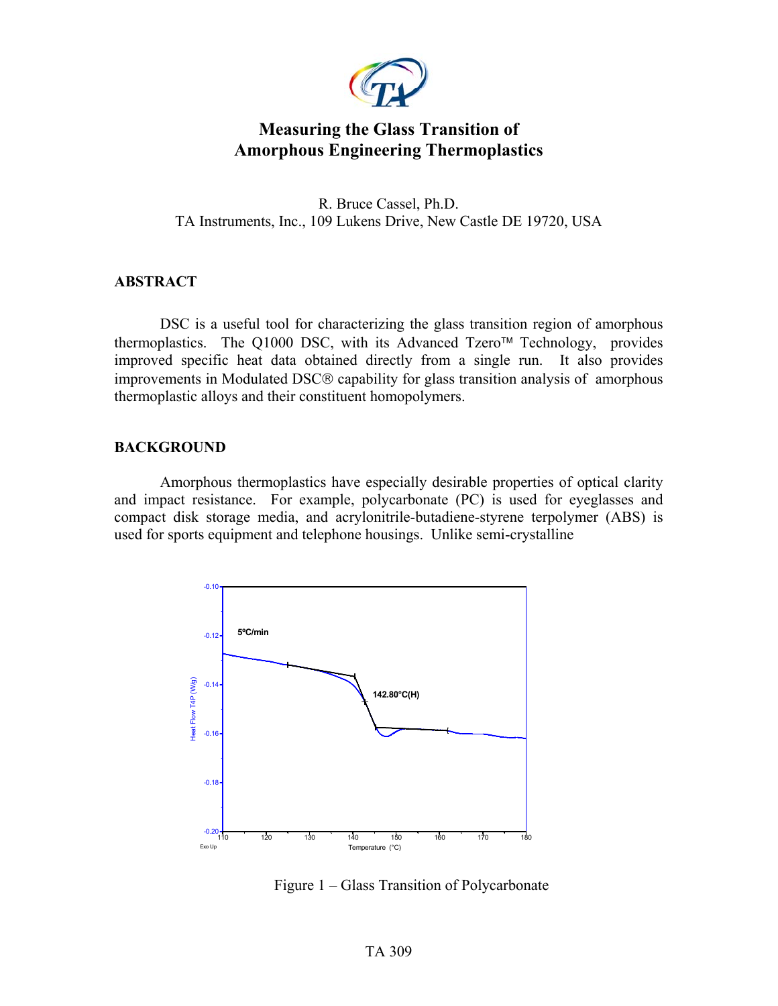

# **Measuring the Glass Transition of Amorphous Engineering Thermoplastics**

R. Bruce Cassel, Ph.D. TA Instruments, Inc., 109 Lukens Drive, New Castle DE 19720, USA

#### **ABSTRACT**

DSC is a useful tool for characterizing the glass transition region of amorphous thermoplastics. The Q1000 DSC, with its Advanced Tzero<sup>TM</sup> Technology, provides improved specific heat data obtained directly from a single run. It also provides improvements in Modulated DSC® capability for glass transition analysis of amorphous thermoplastic alloys and their constituent homopolymers.

#### **BACKGROUND**

Amorphous thermoplastics have especially desirable properties of optical clarity and impact resistance. For example, polycarbonate (PC) is used for eyeglasses and compact disk storage media, and acrylonitrile-butadiene-styrene terpolymer (ABS) is used for sports equipment and telephone housings. Unlike semi-crystalline



Figure 1 – Glass Transition of Polycarbonate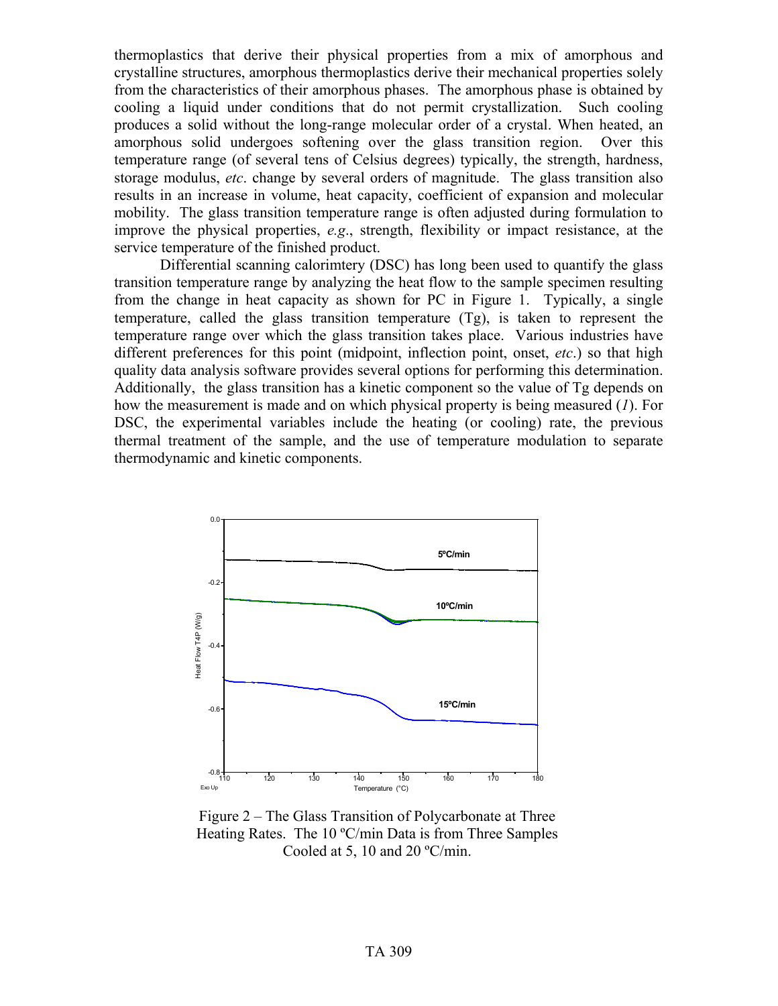thermoplastics that derive their physical properties from a mix of amorphous and crystalline structures, amorphous thermoplastics derive their mechanical properties solely from the characteristics of their amorphous phases. The amorphous phase is obtained by cooling a liquid under conditions that do not permit crystallization. Such cooling produces a solid without the long-range molecular order of a crystal. When heated, an amorphous solid undergoes softening over the glass transition region. Over this temperature range (of several tens of Celsius degrees) typically, the strength, hardness, storage modulus, *etc*. change by several orders of magnitude. The glass transition also results in an increase in volume, heat capacity, coefficient of expansion and molecular mobility. The glass transition temperature range is often adjusted during formulation to improve the physical properties, *e.g*., strength, flexibility or impact resistance, at the service temperature of the finished product.

Differential scanning calorimtery (DSC) has long been used to quantify the glass transition temperature range by analyzing the heat flow to the sample specimen resulting from the change in heat capacity as shown for PC in Figure 1. Typically, a single temperature, called the glass transition temperature (Tg), is taken to represent the temperature range over which the glass transition takes place. Various industries have different preferences for this point (midpoint, inflection point, onset, *etc*.) so that high quality data analysis software provides several options for performing this determination. Additionally, the glass transition has a kinetic component so the value of Tg depends on how the measurement is made and on which physical property is being measured (*1*). For DSC, the experimental variables include the heating (or cooling) rate, the previous thermal treatment of the sample, and the use of temperature modulation to separate thermodynamic and kinetic components.



Figure 2 – The Glass Transition of Polycarbonate at Three Heating Rates. The 10 ºC/min Data is from Three Samples Cooled at 5, 10 and 20 ºC/min.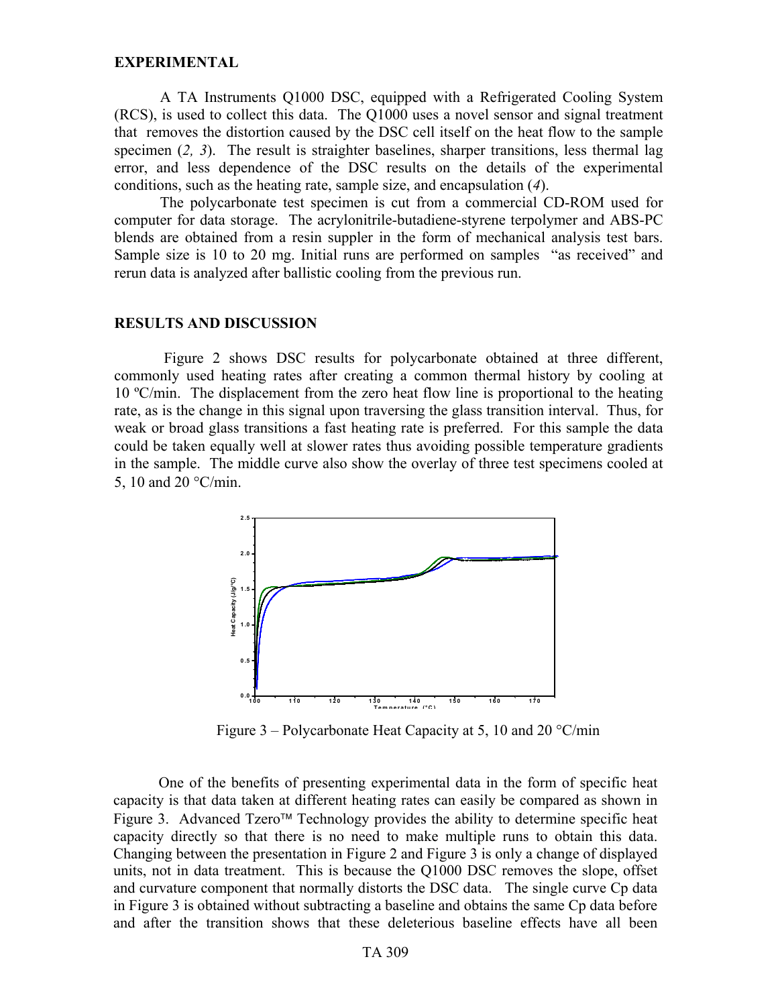#### **EXPERIMENTAL**

A TA Instruments Q1000 DSC, equipped with a Refrigerated Cooling System (RCS), is used to collect this data. The Q1000 uses a novel sensor and signal treatment that removes the distortion caused by the DSC cell itself on the heat flow to the sample specimen (*2, 3*). The result is straighter baselines, sharper transitions, less thermal lag error, and less dependence of the DSC results on the details of the experimental conditions, such as the heating rate, sample size, and encapsulation (*4*).

The polycarbonate test specimen is cut from a commercial CD-ROM used for computer for data storage. The acrylonitrile-butadiene-styrene terpolymer and ABS-PC blends are obtained from a resin suppler in the form of mechanical analysis test bars. Sample size is 10 to 20 mg. Initial runs are performed on samples "as received" and rerun data is analyzed after ballistic cooling from the previous run.

#### **RESULTS AND DISCUSSION**

Figure 2 shows DSC results for polycarbonate obtained at three different, commonly used heating rates after creating a common thermal history by cooling at 10 ºC/min. The displacement from the zero heat flow line is proportional to the heating rate, as is the change in this signal upon traversing the glass transition interval. Thus, for weak or broad glass transitions a fast heating rate is preferred. For this sample the data could be taken equally well at slower rates thus avoiding possible temperature gradients in the sample. The middle curve also show the overlay of three test specimens cooled at 5, 10 and 20 °C/min.



Figure 3 – Polycarbonate Heat Capacity at 5, 10 and 20 °C/min

One of the benefits of presenting experimental data in the form of specific heat capacity is that data taken at different heating rates can easily be compared as shown in Figure 3. Advanced  $Tzero^{TM}$  Technology provides the ability to determine specific heat capacity directly so that there is no need to make multiple runs to obtain this data. Changing between the presentation in Figure 2 and Figure 3 is only a change of displayed units, not in data treatment. This is because the Q1000 DSC removes the slope, offset and curvature component that normally distorts the DSC data. The single curve Cp data in Figure 3 is obtained without subtracting a baseline and obtains the same Cp data before and after the transition shows that these deleterious baseline effects have all been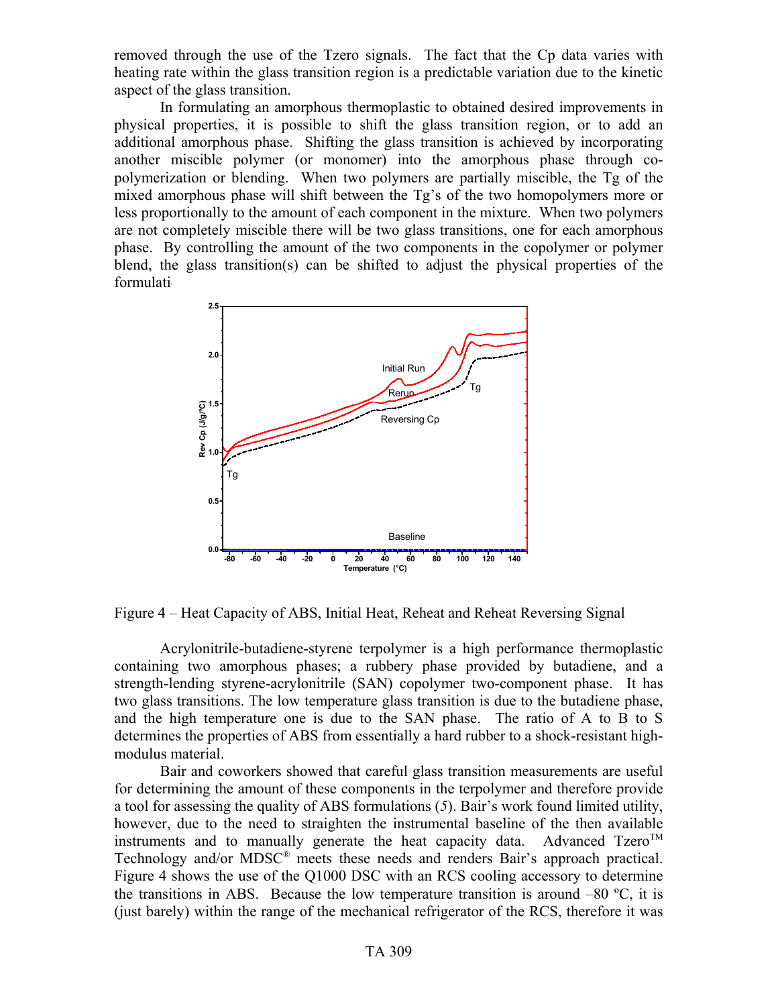removed through the use of the Tzero signals. The fact that the Cp data varies with heating rate within the glass transition region is a predictable variation due to the kinetic aspect of the glass transition.

In formulating an amorphous thermoplastic to obtained desired improvements in physical properties, it is possible to shift the glass transition region, or to add an additional amorphous phase. Shifting the glass transition is achieved by incorporating another miscible polymer (or monomer) into the amorphous phase through copolymerization or blending. When two polymers are partially miscible, the Tg of the mixed amorphous phase will shift between the Tg's of the two homopolymers more or less proportionally to the amount of each component in the mixture. When two polymers are not completely miscible there will be two glass transitions, one for each amorphous phase. By controlling the amount of the two components in the copolymer or polymer blend, the glass transition(s) can be shifted to adjust the physical properties of the formulati



Figure 4 – Heat Capacity of ABS, Initial Heat, Reheat and Reheat Reversing Signal

Acrylonitrile-butadiene-styrene terpolymer is a high performance thermoplastic containing two amorphous phases; a rubbery phase provided by butadiene, and a strength-lending styrene-acrylonitrile (SAN) copolymer two-component phase. It has two glass transitions. The low temperature glass transition is due to the butadiene phase, and the high temperature one is due to the SAN phase. The ratio of A to B to S determines the properties of ABS from essentially a hard rubber to a shock-resistant highmodulus material.

Bair and coworkers showed that careful glass transition measurements are useful for determining the amount of these components in the terpolymer and therefore provide a tool for assessing the quality of ABS formulations (*5*). Bair's work found limited utility, however, due to the need to straighten the instrumental baseline of the then available instruments and to manually generate the heat capacity data. Advanced  $Tzero^{TM}$ Technology and/or MDSC® meets these needs and renders Bair's approach practical. Figure 4 shows the use of the Q1000 DSC with an RCS cooling accessory to determine the transitions in ABS. Because the low temperature transition is around  $-80$  °C, it is (just barely) within the range of the mechanical refrigerator of the RCS, therefore it was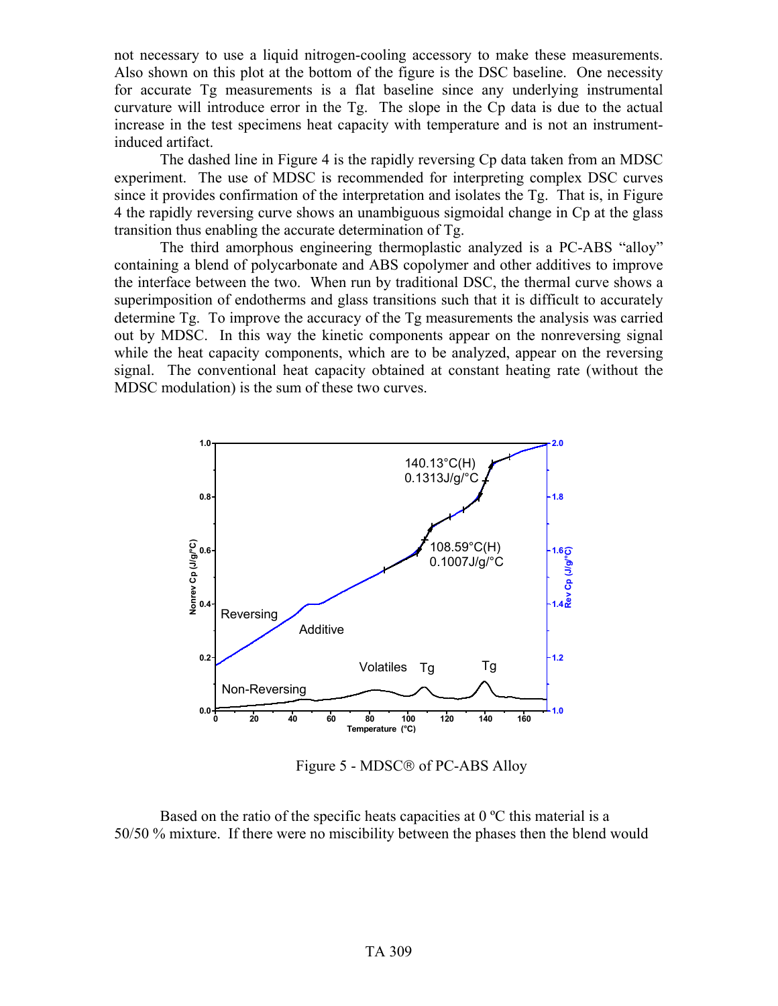not necessary to use a liquid nitrogen-cooling accessory to make these measurements. Also shown on this plot at the bottom of the figure is the DSC baseline. One necessity for accurate Tg measurements is a flat baseline since any underlying instrumental curvature will introduce error in the Tg. The slope in the Cp data is due to the actual increase in the test specimens heat capacity with temperature and is not an instrumentinduced artifact.

The dashed line in Figure 4 is the rapidly reversing Cp data taken from an MDSC experiment. The use of MDSC is recommended for interpreting complex DSC curves since it provides confirmation of the interpretation and isolates the Tg. That is, in Figure 4 the rapidly reversing curve shows an unambiguous sigmoidal change in Cp at the glass transition thus enabling the accurate determination of Tg.

The third amorphous engineering thermoplastic analyzed is a PC-ABS "alloy" containing a blend of polycarbonate and ABS copolymer and other additives to improve the interface between the two. When run by traditional DSC, the thermal curve shows a superimposition of endotherms and glass transitions such that it is difficult to accurately determine Tg. To improve the accuracy of the Tg measurements the analysis was carried out by MDSC. In this way the kinetic components appear on the nonreversing signal while the heat capacity components, which are to be analyzed, appear on the reversing signal. The conventional heat capacity obtained at constant heating rate (without the MDSC modulation) is the sum of these two curves.



Figure 5 - MDSC<sup>®</sup> of PC-ABS Alloy

Based on the ratio of the specific heats capacities at  $0^{\circ}$ C this material is a 50/50 % mixture. If there were no miscibility between the phases then the blend would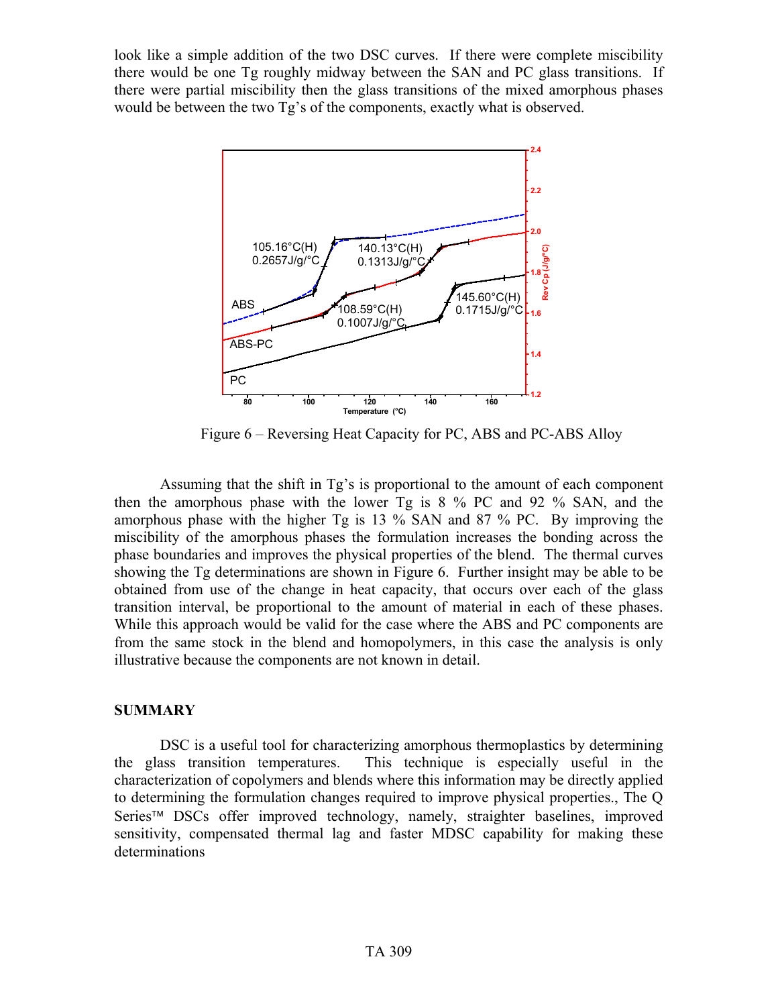look like a simple addition of the two DSC curves. If there were complete miscibility there would be one Tg roughly midway between the SAN and PC glass transitions. If there were partial miscibility then the glass transitions of the mixed amorphous phases would be between the two Tg's of the components, exactly what is observed.



Figure 6 – Reversing Heat Capacity for PC, ABS and PC-ABS Alloy

Assuming that the shift in Tg's is proportional to the amount of each component then the amorphous phase with the lower Tg is 8 % PC and 92 % SAN, and the amorphous phase with the higher Tg is 13 % SAN and 87 % PC. By improving the miscibility of the amorphous phases the formulation increases the bonding across the phase boundaries and improves the physical properties of the blend. The thermal curves showing the Tg determinations are shown in Figure 6. Further insight may be able to be obtained from use of the change in heat capacity, that occurs over each of the glass transition interval, be proportional to the amount of material in each of these phases. While this approach would be valid for the case where the ABS and PC components are from the same stock in the blend and homopolymers, in this case the analysis is only illustrative because the components are not known in detail.

### **SUMMARY**

DSC is a useful tool for characterizing amorphous thermoplastics by determining the glass transition temperatures. This technique is especially useful in the characterization of copolymers and blends where this information may be directly applied to determining the formulation changes required to improve physical properties., The Q Series<sup>™</sup> DSCs offer improved technology, namely, straighter baselines, improved sensitivity, compensated thermal lag and faster MDSC capability for making these determinations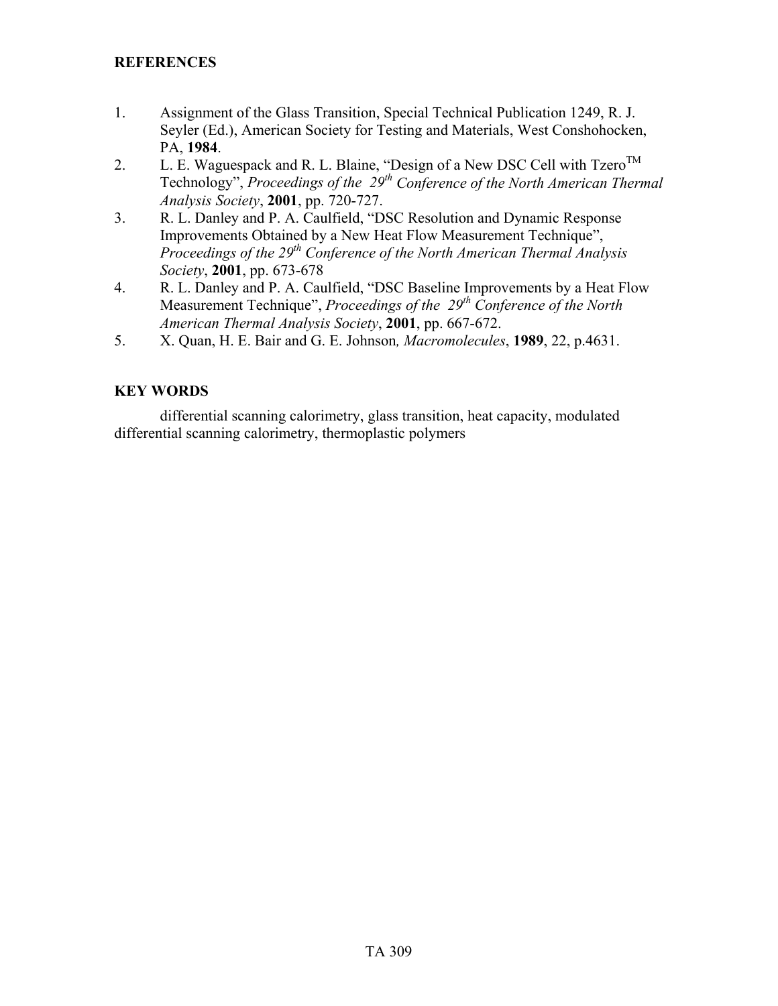## **REFERENCES**

- 1. Assignment of the Glass Transition, Special Technical Publication 1249, R. J. Seyler (Ed.), American Society for Testing and Materials, West Conshohocken, PA, **1984**.
- 2. L. E. Waguespack and R. L. Blaine, "Design of a New DSC Cell with  $Tzero^{TM}$ Technology", *Proceedings of the 29th Conference of the North American Thermal Analysis Society*, **2001**, pp. 720-727.
- 3. R. L. Danley and P. A. Caulfield, "DSC Resolution and Dynamic Response Improvements Obtained by a New Heat Flow Measurement Technique", *Proceedings of the 29th Conference of the North American Thermal Analysis Society*, **2001**, pp. 673-678
- 4. R. L. Danley and P. A. Caulfield, "DSC Baseline Improvements by a Heat Flow Measurement Technique", *Proceedings of the 29th Conference of the North American Thermal Analysis Society*, **2001**, pp. 667-672.
- 5. X. Quan, H. E. Bair and G. E. Johnson*, Macromolecules*, **1989**, 22, p.4631.

## **KEY WORDS**

differential scanning calorimetry, glass transition, heat capacity, modulated differential scanning calorimetry, thermoplastic polymers